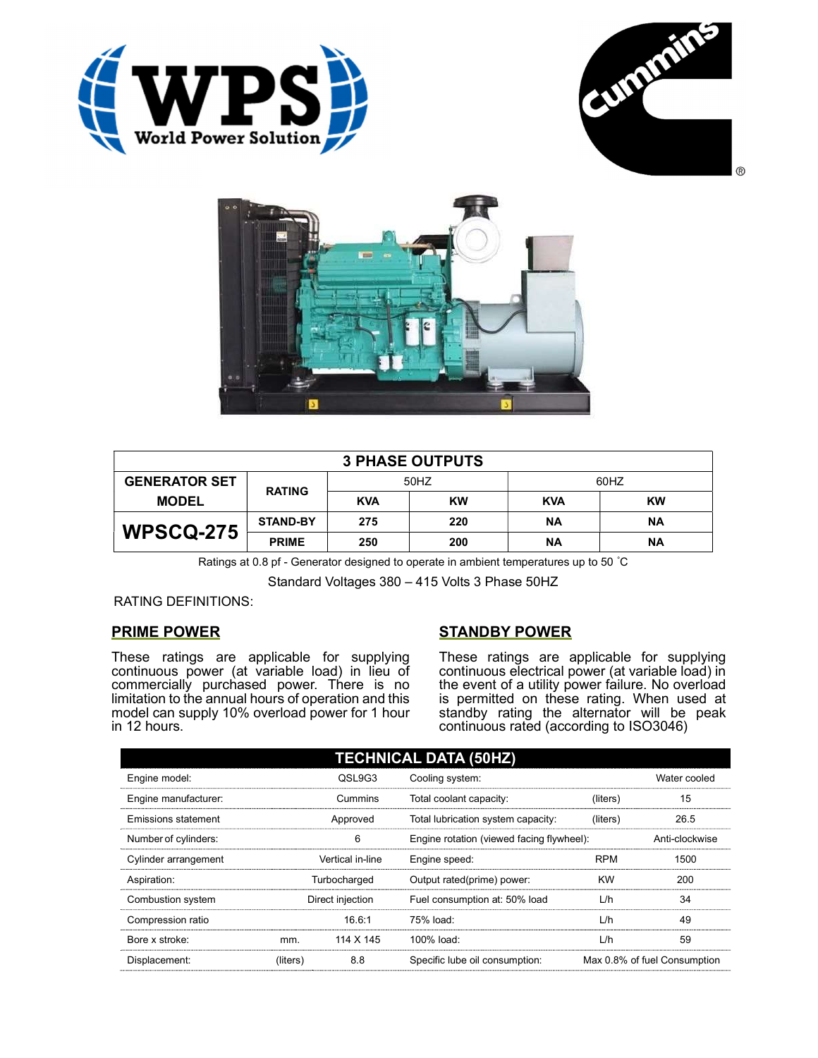





| <b>3 PHASE OUTPUTS</b> |                 |            |           |            |           |  |
|------------------------|-----------------|------------|-----------|------------|-----------|--|
| <b>GENERATOR SET</b>   | <b>RATING</b>   | 50HZ       |           | 60HZ       |           |  |
| <b>MODEL</b>           |                 | <b>KVA</b> | <b>KW</b> | <b>KVA</b> | <b>KW</b> |  |
| <b>WPSCQ-275</b>       | <b>STAND-BY</b> | 275        | 220       | <b>NA</b>  | ΝA        |  |
|                        | <b>PRIME</b>    | 250        | 200       | ΝA         | ΝA        |  |

Ratings at 0.8 pf - Generator designed to operate in ambient temperatures up to 50 °C

Standard Voltages 380 – 415 Volts 3 Phase 50HZ

RATING DEFINITIONS:

## PRIME POWER

These ratings are applicable for supplying continuous power (at variable load) in lieu of commercially purchased power. There is no limitation to the annual hours of operation and this model can supply 10% overload power for 1 hour in 12 hours.

## STANDBY POWER

These ratings are applicable for supplying continuous electrical power (at variable load) in the event of a utility power failure. No overload is permitted on these rating. When used at standby rating the alternator will be peak continuous rated (according to ISO3046)

| <b>TECHNICAL DATA (50HZ)</b> |                  |                  |                                           |            |                              |  |
|------------------------------|------------------|------------------|-------------------------------------------|------------|------------------------------|--|
| Engine model:                |                  | QSL9G3           | Cooling system:                           |            | Water cooled                 |  |
| Engine manufacturer:         |                  | Cummins          | Total coolant capacity:                   | (liters)   | 15                           |  |
| Emissions statement          | Approved         |                  | Total lubrication system capacity:        | (liters)   | 26.5                         |  |
| Number of cylinders:         | 6                |                  | Engine rotation (viewed facing flywheel): |            | Anti-clockwise               |  |
| Cylinder arrangement         |                  | Vertical in-line | Engine speed:                             | <b>RPM</b> | 1500                         |  |
| Aspiration:                  | Turbocharged     |                  | Output rated(prime) power:                | <b>KW</b>  | 200                          |  |
| Combustion system            | Direct injection |                  | Fuel consumption at: 50% load             | L/h        | 34                           |  |
| Compression ratio            |                  | 16.6:1           | 75% load:                                 | L/h        | 49                           |  |
| Bore x stroke:               | mm.              | 114 X 145        | 100% load:                                | L/h        | 59                           |  |
| Displacement:                | (liters)         | 8.8              | Specific lube oil consumption:            |            | Max 0.8% of fuel Consumption |  |